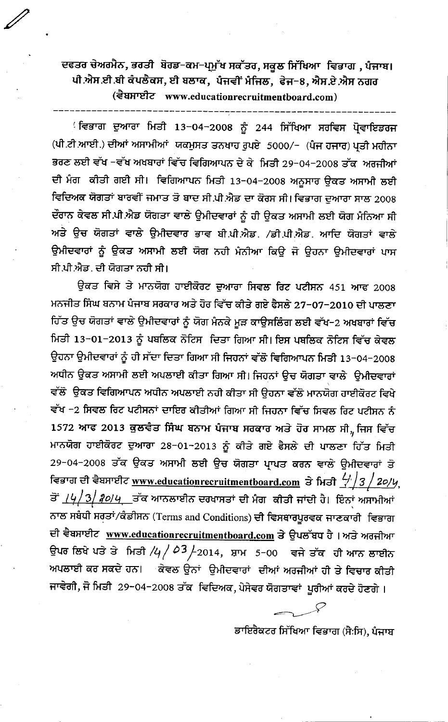ਦਫਤਰ ਚੇਅਰਮੈਨ, ਭਰਤੀ ਬੋਰਡ-ਕਮ-ਪ੍ਰਮੁੱਖ ਸਕੱਤਰ, ਸਕੂਲ ਸਿੱਖਿਆ ਵਿਭਾਗ , ਪੰਜਾਬ। ਪੀ.ਐਸ.ਈ.ਬੀ ਕੰਪਲੈਕਸ, ਈ ਬਲਾਕ, ਪੰਜਵੀਂ ਮੰਜਿਲ, ਫੇਜ–8, ਐਸ.ਏ.ਐਸ ਨਗਰ (दैधप्राप्टीट www.educationrecruitmentboard.com)

ੁਵਿਭਾਗ ਦੁਆਰਾ ਮਿਤੀ 13−04−2008 ਨੂੰ 244 ਸਿੱਖਿਆ ਸਰਵਿਸ ਪ੍ਰੋਵਾਇਡਰਜ (ਪੀ.ਟੀ.ਆਈ.) ਦੀਆਂ ਅਸਾਮੀਆਂ ਯਕਮੁਸਤ ਤਨਖਾਹ ਰੁਪਏ 5000/- (ਪੰਜ ਹਜਾਰ) ਪ੍ਰਤੀ ਮਹੀਨਾ ਭਰਣ ਲਈ ਵੱਖ −ਵੱਖ ਅਖਬਾਰਾਂ ਵਿੱਚ ਵਿਗਿਆਪਨ ਦੇ ਕੇ ਮਿਤੀ 29-04-2008 ਤੱਕ ਅਰਜੀਆਂ ਦੀ ਮੰਗ ਕੀਤੀ ਗਈ ਸੀ। ਵਿਗਿਆਪਨ ਮਿਤੀ 13-04-2008 ਅਨੂਸਾਰ ਉਕਤ ਅਸਾਮੀ ਲਈ ਵਿਦਿਅਕ ਯੋਗਤਾਂ ਬਾਰਵੀਂ ਜਮਾਤ ਤੋ ਬਾਦ ਸੀ.ਪੀ.ਐਡ ਦਾ ਕੋਰਸ ਸੀ। ਵਿਭਾਗ ਦੁਆਰਾ ਸਾਲ 2008 ਦੌਰਾਨ ਕੇਵਲ ਸੀ.ਪੀ.ਐਡ ਯੋਗਤਾ ਵਾਲੇ ਉਮੀਦਵਾਰਾਂ ਨੂੰ ਹੀ ਉਕਤ ਅਸਾਮੀ ਲਈ ਯੋਗ ਮੰਨਿਆ ਸੀ ਅਤੇ ਉਚ ਯੋਗਤਾਂ ਵਾਲੇ ਉਮੀਦਵਾਰ ਭਾਵ ਬੀ.ਪੀ.ਐਡ. /ਡੀ.ਪੀ.ਐਡ. ਆਦਿ ਯੋਗਤਾਂ ਵਾਲੇ ਉਮੀਦਵਾਰਾਂ ਨੂੰ ਉਕਤ ਅਸਾਮੀ ਲਈ ਯੋਗ ਨਹੀ ਮੰਨੀਆ ਕਿਉ ਜੋ ਉਹਨਾ ਉਮੀਦਵਾਰਾਂ ਪਾਸ ਸੀ ਪੀ ਐਡ, ਦੀ ਯੋਗਤਾ ਨਹੀ ਸੀ।

ਉਕਤ ਵਿਸੇ ਤੇ ਮਾਨਯੋਗ ਹਾਈਕੋਰਟ ਦੁਆਰਾ ਸਿਵਲ ਰਿਟ ਪਟੀਸਨ 451 ਆਫ 2008 ਮਨਜੀਤ ਸਿੰਘ ਬਨਾਮ ਪੰਜਾਬ ਸਰਕਾਰ ਅਤੇ ਹੋਰ ਵਿੱਚ ਕੀਤੇ ਗਏ ਫੈਸਲੇ 27−07−2010 ਦੀ ਪਾਲਣਾ ਹਿੱਤ ਉਚ ਯੋਗਤਾਂ ਵਾਲੇ ਉਮੀਦਵਾਰਾਂ ਨੂੰ ਯੋਗ ਮੰਨਕੇ ਮੁੜ ਕਾਊਸਲਿੰਗ ਲਈ ਵੱਖ−2 ਅਖਬਾਰਾਂ ਵਿੱਚ ਮਿਤੀ 13-01-2013 ਨੂੰ ਪਬਲਿਕ ਨੋਟਿਸ ਦਿਤਾ ਗਿਆ ਸੀ। ਇਸ ਪਬਲਿਕ ਨੋਟਿਸ ਵਿੱਚ ਕੇਵਲ ਉਹਨਾ ਉਮੀਦਵਾਰਾਂ ਨੂੰ ਹੀ ਸੱਦਾ ਦਿਤਾ ਗਿਆ ਸੀ ਜਿਹਨਾਂ ਵੱਲੋਂ ਵਿਗਿਆਪਨ ਮਿਤੀ 13-04-2008 ਅਧੀਨ ਉਕਤ ਅਸਾਮੀ ਲਈ ਅਪਲਾਈ ਕੀਤਾ ਗਿਆ ਸੀ। ਜਿਹਨਾਂ ਉਚ ਯੋਗਤਾ ਵਾਲੇ ਉਮੀਦਵਾਰਾਂ ਵੱਲੋਂ ਉਕਤ ਵਿਗਿਆਪਨ ਅਧੀਨ ਅਪਲਾਈ ਨਹੀ ਕੀਤਾ ਸੀ ਉਹਨਾ ਵੱਲੋਂ ਮਾਨਯੋਗ ਹਾਈਕੋਰਟ ਵਿਖੇ ਵੱਖ −2 ਸਿਵਲ ਰਿਟ ਪਟੀਸਨਾਂ ਦਾਇਰ ਕੀਤੀਆਂ ਗਿਆ ਸੀ ਜਿਹਨਾ ਵਿੱਚ ਸਿਵਲ ਰਿਟ ਪਟੀਸਨ ਨੰ 1572 ਆਫ 2013 ਕੁਲਵੰਤ ਸਿੰਘ ਬਨਾਮ ਪੰਜਾਬ ਸਰਕਾਰ ਅਤੇ ਹੋਰ ਸਾਮਲ ਸੀ, ਜਿਸ ਵਿੱਚ ਮਾਨਯੋਗ ਹਾਈਕੋਰਟ ਦੁਆਰਾ 28-01-2013 ਨੂੰ ਕੀਤੇ ਗਏ ਫੈਸਲੇ ਦੀ ਪਾਲਣਾ ਹਿੱਤ ਮਿਤੀ 29-04-2008 ਤੱਕ ਉਕਤ ਅਸਾਮੀ ਲਈ ਉਚ ਯੋਗਤਾ ਪ੍ਰਾਪਤ ਕਰਨ ਵਾਲੇ ਉਮੀਦਵਾਰਾਂ ਤੋ ਵਿਭਾਗ ਦੀ ਵੈਬਸਾਈਟ www.educationrecruitmentboard.com ਤੇ ਮਿਤੀ  $\frac{\langle \cdot \rangle}{2}$  / 20/4, ਤੋਂ <u>/4/3/*3੦*/4</u> \_ਤੱਕ ਆਨਲਾਈਨ ਦਰਖਾਸਤਾਂ ਦੀ ਮੈਗ ਕੀਤੀ ਜਾਂਦੀ ਹੈ। ਇੰਨਾਂ ਅਸਾਮੀਆਂ ਨਾਲ ਸਬੰਧੀ ਸਰਤਾਂ/ਕੰਡੀਸਨ (Terms and Conditions) ਦੀ ਵਿਸਥਾਰਪੂਰਵਕ ਜਾਣਕਾਰੀ ਵਿਭਾਗ ਦੀ ਵੈਬਸਾਈਟ www.educationrecruitmentboard.com ਤੇ ਉਪਲੱਬਧ ਹੈ।ਅਤੇ ਅਰਜੀਆ ਉਪਰ ਲਿਖੇ ਪਤੇ ਤੇ ਮਿਤੀ /4 /  $\varphi$ 3 / 2014, ਸ਼ਾਮ 5-00 ਵਜੇ ਤੱਕ ਹੀ ਆਨ ਲਾਈਨ ਅਪਲਾਈ ਕਰ ਸਕਦੇ ਹਨ। ਕੇਵਲ ਉਨਾਂ ਉਮੀਦਵਾਰਾਂ ਦੀਆਂ ਅਰਜੀਆਂ ਹੀ ਤੇ ਵਿਚਾਰ ਕੀਤੀ ਜਾਵੇਗੀ, ਜੋ ਮਿਤੀ 29-04-2008 ਤੱਕ ਵਿਦਿਅਕ, ਪੇਸੇਵਰ ਯੋਗਤਾਵਾਂ ਪੂਰੀਆਂ ਕਰਦੇ ਹੋਣਗੇ ।

ਡਾਇਰੈਕਟਰ ਸਿੱਖਿਆ ਵਿਭਾਗ (ਸੈ:ਸਿ), ਪੰਜਾਬ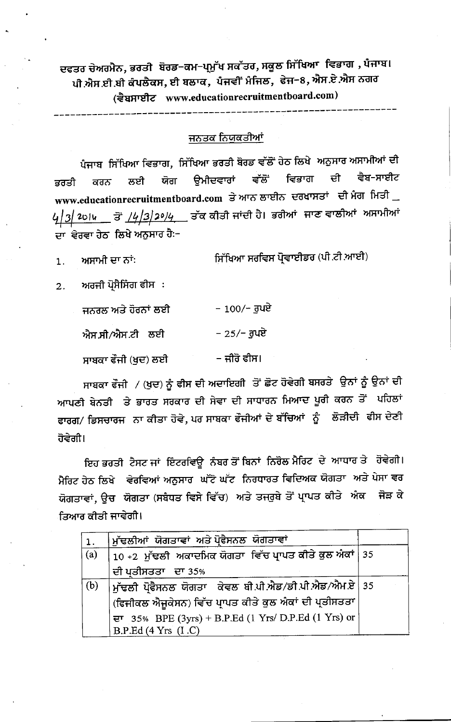ਦਫਤਰ ਚੇਅਰਮੈਨ, ਭਰਤੀ ਬੋਰਡ−ਕਮ−ਪ੍ਰਮੁੱਖ ਸਕੱਤਰ, ਸਕੂਲ ਸਿੱਖਿਆ ਵਿਭਾਗ , ਪੰਜਾਬ। ਪੀ ਐਸ.ਈ.ਬੀ ਕੰਪਲੈਕਸ, ਈ ਬਲਾਕ, ਪੰਜਵੀਂ ਮੰਜਿਲ, ਫੇਜ-8, ਐਸ.ਏ.ਐਸ ਨਗਰ (दैघप्राष्टीट www.educationrecruitmentboard.com)

## <u>ਜਨਤਕ ਨਿਯੁਕਤੀਆਂ</u>

ਪੰਜਾਬ ਸਿੱਖਿਆ ਵਿਭਾਗ, ਸਿੱਖਿਆ ਭਰਤੀ ਬੋਰਡ ਵੱਲੋਂ ਹੇਠ ਲਿਖੇ ਅਨੁਸਾਰ ਅਸਾਮੀਆਂ ਦੀ ਵਿਭਾਗ ਵੈਬ-ਸਾਈਟ ਵੱਲੋਂ ਦੀ ੳਮੀਦਵਾਰਾਂ ਲਈ ਯੋਗ ਕਰਨ ਭਰਤੀ www.educationrecruitmentboard.com ਤੇ ਆਨ ਲਾਈਨ ਦਰਖਾਸਤਾਂ ਦੀ ਮੰਗ ਮਿਤੀ 4<u>|૩| 2੦।u </u>ਤੋਂ <u>/4|3|2º/4 </u>ਤੱਕ ਕੀਤੀ ਜਾਂਦੀ ਹੈ। ਭਰੀਆਂ ਜਾਣ ਵਾਲੀਆਂ ਅਸਾਮੀਆਂ ਦਾ ਵੇਰਵਾ ਹੇਠ ਲਿਖੇ ਅਨੁਸਾਰ ਹੈ:-

ਸਿੱਖਿਆ ਸਰਵਿਸ ਪ੍ਰੋਵਾਈਡਰ (ਪੀ.ਟੀ.ਆਈ) ਅਸਾਮੀ ਦਾ ਨਾਂ:  $\overline{1}$ .

ਅਰਜੀ ਪ੍ਰੋਸੈਸਿੰਗ ਫੀਸ :  $2.$ 

| ਜਨਰਲ ਅਤੇ ਹੋਰਨਾਂ ਲਈ | – 100/– ਰੁਪਏ          |
|--------------------|-----------------------|
| ਐਸ.ਸੀ/ਐਸ.ਟੀ ਲਈ     | – 25/– ਰਪਏ            |
| ਸਾਬਕਾ ਫੌਜੀ (ਖਦ) ਲਈ | – ਜੀਰੋ ਫੀਸ।<br>$\sim$ |

ਸਾਬਕਾ ਫੌਜੀ ⁄ (ਖੁਦ) ਨੂੰ ਫੀਸ ਦੀ ਅਦਾਇਗੀ ਤੋਂ ਛੋਟ ਹੋਵੇਗੀ ਬਸਰਤੇ ਉਨਾਂ ਨੂੰ ਉਨਾਂ ਦੀ ਆਪਣੀ ਬੇਨਤੀ ਤੇ ਭਾਰਤ ਸਰਕਾਰ ਦੀ ਸੇਵਾ ਦੀ ਸਾਧਾਰਨ ਮਿਆਦ ਪੂਰੀ ਕਰਨ ਤੋਂ ਪਹਿਲਾਂ ਫਾਰਗ/ ਡਿਸਚਾਰਜ ਨਾ ਕੀਤਾ ਹੋਵੇ, ਪਰ ਸਾਬਕਾ ਫੌਜੀਆਂ ਦੇ ਬੱਚਿਆਂ ਨੂੰ ਲੋੜੀਦੀ ਫੀਸ ਦੇਣੀ ਹੋਵੇਗੀ।

ਇਹ ਭਰਤੀ ਟੈਸਟ ਜਾਂ ਇੰਟਰਵਿਊ ਨੰਬਰ ਤੋਂ ਬਿਨਾਂ ਨਿਰੋਲ ਮੈਰਿਟ ਦੇ ਆਧਾਰ ਤੇ ਹੋਵੇਗੀ। ਮੈਰਿਟ ਹੇਠ ਲਿਖੇ ਵੇਰਵਿਆਂ ਅਨੁਸਾਰ ਘੱਟੋ ਘੱਟ ਨਿਰਧਾਰਤ ਵਿਦਿਅਕ ਯੋਗਤਾ ਅਤੇ ਪੇਸਾ ਵਰ ਯੋਗਤਾਵਾਂ, ਉਚ ਯੋਗਤਾ (ਸਬੈਧਤ ਵਿਸੇ ਵਿੱਚ) ਅਤੇ ਤਜਰੁਬੇ ਤੋਂ ਪ੍ਰਾਪਤ ਕੀਤੇ ਅੰਕ ਜੋੜ ਕੇ ਤਿਆਰ ਕੀਤੀ ਜਾਵੇਗੀ।

|     | ∣ ਮੁੱਢਲੀਆਂ ਯੋਗਤਾਵਾਂ ਅਤੇ ਪ੍ਰੋਫੈਸਨਲ ਯੋਗਤਾਵਾਂ                            |  |
|-----|-----------------------------------------------------------------------|--|
| (a) | 10 +2  ਮੁੱਢਲੀ  ਅਕਾਦਮਿਕ ਯੋਗਤਾ  ਵਿੱਚ ਪ੍ਰਾਪਤ ਕੀਤੇ ਕੁਲ ਐਕਾਂ   35          |  |
|     | ਦੀ ਪਤੀਸਤਤਾ ਦਾ 35%                                                     |  |
| (b) | $\vert$ ਮੁੱਢਲੀ ਪ੍ਰੋਫੈਸਨਲ ਯੋਗਤਾ ਕੇਵਲ ਬੀ.ਪੀ.ਐਡ/ਡੀ.ਪੀ.ਐਡ/ਐਮ.ਏ $\vert$ 35 |  |
|     | (ਫਿਜੀਕਲ ਐਜੂਕੇਸਨ) ਵਿੱਚ ਪ੍ਰਾਪਤ ਕੀਤੇ ਕੁਲ ਅੰਕਾਂ ਦੀ ਪ੍ਰਤੀਸਤਤਾ              |  |
|     | ਦਾ 35% BPE (3yrs) + B.P.Ed (1 Yrs/ D.P.Ed (1 Yrs) or                  |  |
|     | B.P.Ed $(4 Yrs (I.C))$                                                |  |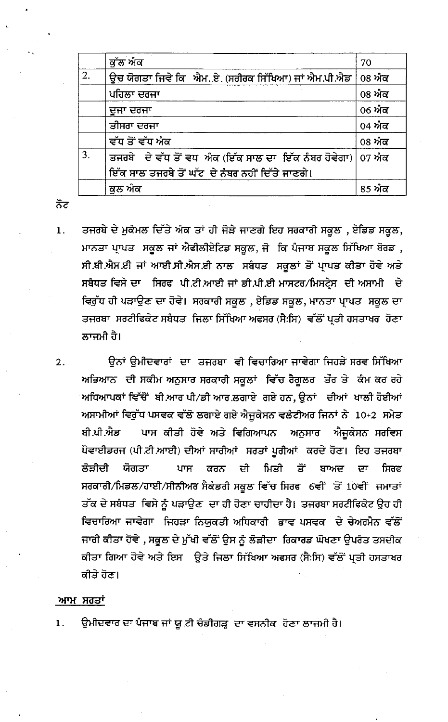|    | ਕੱਲ ਅੰਕ                                                                                                          | 70     |
|----|------------------------------------------------------------------------------------------------------------------|--------|
| 2. | ਉਚ ਯੋਗਤਾ ਜਿਵੇ ਕਿ ਐਮਏ. (ਸਰੀਰਕ ਸਿੱਖਿਆ) ਜਾਂ ਐਮ.ਪੀ.ਐਡ                                                                | 08 ਅੰਕ |
|    | ਪਹਿਲਾ ਦਰਜਾ                                                                                                       | 08 ਅੰਕ |
|    | ਦੂਜਾ ਦਰਜਾ                                                                                                        | 06 ਅੰਕ |
|    | ਤੀਸਰਾ ਦਰਜਾ                                                                                                       | 04 ਅੰਕ |
|    | ਵੱਧ ਤੋਂ ਵੱਧ ਅੰਕ                                                                                                  | 08 ਅੰਕ |
| 3. | ਤਜਰਬੇ ਦੇ ਵੱਧ ਤੋਂ ਵਧ ਅੰਕ (ਇੱਕ ਸਾਲ ਦਾ ਇੱਕ ਨੰਬਰ ਹੋਵੇਗਾ)   07 ਅੰਕ<br>ਇੱਕ ਸਾਲ ਤਜਰਬੇ ਤੋਂ ਘੱਟ ਦੇ ਨੰਬਰ ਨਹੀਂ ਦਿੱਤੇ ਜਾਣਗੇ। |        |
|    | ਕਲ ਅੰਕ                                                                                                           | 85 ਅੰਕ |

ਨੋਟ

 $2.$ 

ਤਜਰਬੇ ਦੇ ਮੁਕੰਮਲ ਦਿੱਤੇ ਅੰਕ ਤਾਂ ਹੀ ਜੋੜੇ ਜਾਣਗੇ ਇਹ ਸਰਕਾਰੀ ਸਕੂਲ , ਏਡਿਡ ਸਕੂਲ,  $1.$ ਮਾਨਤਾ ਪ੍ਰਾਪਤ ਸਕੂਲ ਜਾਂ ਐਫੀਲੀਏਟਿਡ ਸਕੂਲ, ਜੋ ਕਿ ਪੰਜਾਬ ਸਕੂਲ ਸਿੱਖਿਆ ਬੋਰਡ, ਸੀ.ਬੀ.ਐਸ.ਈ ਜਾਂ ਆਈ.ਸੀ.ਐਸ.ਈ ਨਾਲ ਸਬੰਧਤ ਸਕੂਲਾਂ ਤੋਂ ਪ੍ਰਾਪਤ ਕੀਤਾ ਹੋਵੇ ਅਤੇ ਸਬੰਧਤ ਵਿਸੇ ਦਾ ਸਿਰਫ ਪੀ.ਟੀ.ਆਈ ਜਾਂ ਡੀ.ਪੀ.ਈ ਮਾਸਟਰ/ਮਿਸਟ੍ਰੇਸ ਦੀ ਅਸਾਮੀ ਦੇ ਵਿਰੁੱਧ ਹੀ ਪੜਾਉਣ ਦਾ ਹੋਵੇ। ਸਰਕਾਰੀ ਸਕੂਲ , ਏਡਿਡ ਸਕੂਲ, ਮਾਨਤਾ ਪ੍ਰਾਪਤ ਸਕੂਲ ਦਾ ਤਜਰਬਾ ਸਰਟੀਫਿਕੇਟ ਸਬੰਧਤ ਜਿਲਾ ਸਿੱਖਿਆ ਅਫਸਰ (ਸੈ:ਸਿ) ਵੱਲੋਂ ਪ੍ਰਤੀ ਹਸਤਾਖਰ ਹੋਣਾ ਲਾਜਮੀ ਹੈ।

ਉਨਾਂ ਉਮੀਦਵਾਰਾਂ ਦਾ ਤਜਰਬਾ ਵੀ ਵਿਚਾਰਿਆ ਜਾਵੇਗਾ ਜਿਹੜੇ ਸਰਵ ਸਿੱਖਿਆ ਅਭਿਆਨ ਦੀ ਸਕੀਮ ਅਨੁਸਾਰ ਸਰਕਾਰੀ ਸਕੂਲਾਂ ਵਿੱਚ ਰੈਗੂਲਰ ਤੌਰ ਤੇ ਕੰਮ ਕਰ ਰਹੇ ਅਧਿਆਪਕਾਂ ਵਿੱਚੋਂ ਬੀ.ਆਰ ਪੀ/ਡੀ ਆਰ.ਲਗਾਏ ਗਏ ਹਨ, ਉਨਾਂ ਦੀਆਂ ਖਾਲੀ ਹੋਈਆਂ ਅਸਾਮੀਆਂ ਵਿਰੁੱਧ ਪਸਵਕ ਵੱਲੋਂ ਲਗਾਏ ਗਏ ਐਜੂਕੇਸਨ ਵਲੰਟੀਅਰ ਜਿਨਾਂ ਨੇ 10+2 ਸਮੇਤ ਪਾਸ ਕੀਤੀ ਹੋਵੇ ਅਤੇ ਵਿਗਿਆਪਨ ਅਨੁਸਾਰ ਐਜੁਕੇਸਨ ਸਰਵਿਸ ਬੀ.ਪੀ.ਐਡ ਪੋਵਾਈਡਰਜ (ਪੀ.ਟੀ.ਆਈ) ਦੀਆਂ ਸਾਰੀਆਂ ਸਰਤਾਂ ਪੁਰੀਆਂ ਕਰਦੇ ਹੋਣ। ਇਹ ਤਜਰਬਾ ਲੋੜੀਦੀ ਯੋਗਤਾ ਦੀ ਮਿਤੀ ਤੋਂ ਪਾਸ ਕਰਨ ਬਾਅਦ ਦਾ ਸਿਰਫ ਸਰਕਾਰੀ/ਮਿਡਲ/ਹਾਈ/ਸੀਨੀਅਰ ਸੈਕੰਡਰੀ ਸਕੂਲ ਵਿੱਚ ਸਿਰਫ 6ਵੀਂ ਤੋਂ 10ਵੀਂ ਜਮਾਤਾਂ ਤੱਕ ਦੇ ਸਬੰਧਤ ਵਿਸੇ ਨੂੰ ਪੜਾਉਣ ਦਾ ਹੀ ਹੋਣਾ ਚਾਹੀਦਾ ਹੈ। ਤਜਰਬਾ ਸਰਟੀਫਿਕੇਟ ਉਹ ਹੀ ਵਿਚਾਰਿਆ ਜਾਵੇਗਾ ਜਿਹੜਾ ਨਿਯੁਕਤੀ ਅਧਿਕਾਰੀ ਭਾਵ ਪਸਵਕ ਦੇ ਚੇਅਰਮੈਨ ਵੱਲੋਂ ਜਾਰੀ ਕੀਤਾ ਹੋਵੇ , ਸਕੂਲ ਦੇ ਮੁੱਖੀ ਵੱਲੋਂ ਉਸ ਨੂੰ ਲੋੜੀਦਾ ਰਿਕਾਰਡ ਘੋਖਣਾ ਉਪਰੰਤ ਤਸਦੀਕ ਕੀਤਾ ਗਿਆ ਹੋਵੇ ਅਤੇ ਇਸ ਉਤੇ ਜਿਲਾ ਸਿੱਖਿਆ ਅਫਸਰ (ਸੈ:ਸਿ) ਵੱਲੋਂ ਪ੍ਰਤੀ ਹਸਤਾਖਰ ਕੀਤੇ ਹੋਣ।

## ਆਮ ਸਰਤਾਂ

ਉਮੀਦਵਾਰ ਦਾ ਪੰਜਾਬ ਜਾਂ ਯੂ.ਟੀ ਚੰਡੀਗੜ੍ਹ ਦਾ ਵਸਨੀਕ ਹੋਣਾ ਲਾਜਮੀ ਹੈ।  $1.$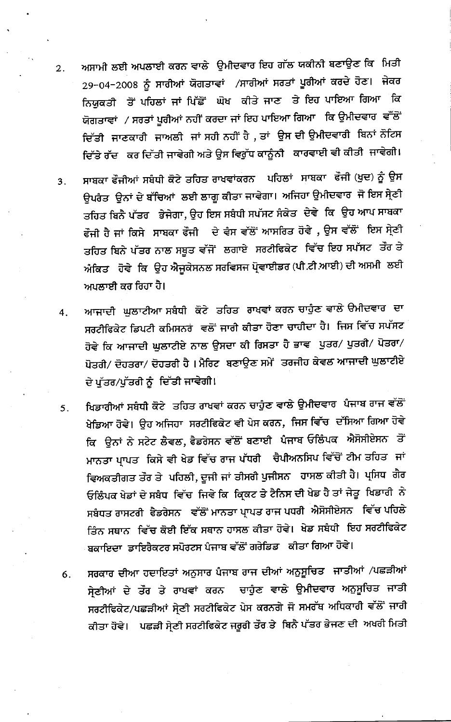- ਅਸਾਮੀ ਲਈ ਅਪਲਾਈ ਕਰਨ ਵਾਲੇ ਉਮੀਦਵਾਰ ਇਹ ਗੱਲ ਯਕੀਨੀ ਬਣਾਉਣ ਕਿ ਮਿਤੀ  $2.$ 29-04-2008 ਨੂੰ ਸਾਰੀਆਂ ਯੋਗਤਾਵਾਂ ⁄ਸਾਰੀਆਂ ਸਰਤਾਂ ਪੂਰੀਆਂ ਕਰਦੇ ਹੋਣ। ਜੇਕਰ ਨਿਯੁਕਤੀ ਤੋਂ ਪਹਿਲਾਂ ਜਾਂ ਪਿੱਛੋਂ ਘੋਖ ਕੀਤੇ ਜਾਣ ਤੇ ਇਹ ਪਾਇਆ ਗਿਆ ਕਿ ਯੋਗਤਾਵਾਂ / ਸਰਤਾਂ ਪੁਰੀਆਂ ਨਹੀਂ ਕਰਦਾ ਜਾਂ ਇਹ ਪਾਇਆ ਗਿਆ ਕਿ ਉਮੀਦਵਾਰ ਵੱੱਲੋਂ ਦਿੱਤੀ ਜਾਣਕਾਰੀ ਜਾਅਲੀ ਜਾਂ ਸਹੀ ਨਹੀਂ ਹੈ , ਤਾਂ ਉਸ ਦੀ ਉਮੀਦਵਾਰੀ ਬਿਨਾਂ ਨੋਟਿਸ ਦਿੱਤੇ ਰੱਦ ਕਰ ਦਿੱਤੀ ਜਾਵੇਗੀ ਅਤੇ ਉਸ ਵਿਰੁੱਧ ਕਾਨੂੰਨੀ ਕਾਰਵਾਈ ਵੀ ਕੀਤੀ ਜਾਵੇਗੀ।
- ਸਾਬਕਾ ਫੌਜੀਆਂ ਸਬੰਧੀ ਕੋਟੇ ਤਹਿਤ ਰਾਖਵਾਂਕਰਨ ਪਹਿਲਾਂ ਸਾਬਕਾ ਫੌਜੀ (ਖੁਦ) ਨੂੰ ਉਸ  $3.$ ਉਪਰੰਤ ਉਨਾਂ ਦੇ ਬੱਚਿਆਂ ਲਈ ਲਾਗੂ ਕੀਤਾ ਜਾਵੇਗਾ। ਅਜਿਹਾ ਉਮੀਦਵਾਰ ਜੋ ਇਸ ਸ੍ਰੇਣੀ ਤਹਿਤ ਬਿਨੈ ਪੱਤਰ ਭੇਜੇਗਾ, ਉਹ ਇਸ ਸਬੰਧੀ ਸਪੱਸਟ ਸੈਕੇਤ ਦੇਵੇ ਕਿ ਉਹ ਆਪ ਸਾਬਕਾ ਫੌਜੀ ਹੈ ਜਾਂ ਕਿਸੇ ਸਾਬਕਾ ਫੌਜੀ ਦੇ ਵੈਸ ਵੱਲੋਂ ਆਸਰਿਤ ਹੋਵੇ , ਉਸ ਵੱਲੋਂ ਇਸ ਸ੍ਰੇਣੀ ਤਹਿਤ ਬਿਨੇ ਪੱਤਰ ਨਾਲ ਸਬੂਤ ਵੱਜੋਂ ਲਗਾਏ ਸਰਟੀਫਿਕੇਟ ਵਿੱਚ ਇਹ ਸਪੱਸਟ ਤੌਰ ਤੇ ਐਕਿਤ ਹੋਵੇ ਕਿ ਉਹ ਐਜੂਕੇਸਨਲ ਸਰਵਿਸਜ ਪ੍ਰੋਵਾਈਡਰ (ਪੀ.ਟੀ.ਆਈ) ਦੀ ਅਸਮੀ ਲਈ ਅਪਲਾਈ ਕਰ ਰਿਹਾ ਹੈ।
- ਆਜਾਦੀ ਘੁਲਾਟੀਆ ਸਬੰਧੀ ਕੋਟੇ ਤਹਿਤ ਰਾਖਵਾਂ ਕਰਨ ਚਾਹੁੰਣ ਵਾਲੇ ੳਮੀਦਵਾਰ ਦਾ  $4.$ ਸਰਟੀਫਿਕੇਟ ਡਿਪਟੀ ਕਮਿਸਨਰਂ ਵਲੋਂ ਜਾਰੀ ਕੀਤਾ ਹੋਣਾ ਚਾਹੀਦਾ ਹੈ। ਜਿਸ ਵਿੱਚ ਸਪੱਸਟ ਹੋਵੇ ਕਿ ਆਜਾਦੀ ਘੁਲਾਟੀਏ ਨਾਲ ਉਸਦਾ ਕੀ ਰਿਸਤਾ ਹੈ ਭਾਵ ਪੁਤਰ/ ਪੁਤਰੀ/ ਪੋਤਰਾ/ ਪੋਤਰੀ/ ਦੋਹਤਰਾ/ ਦੋਹਤਰੀ ਹੈ। ਮੈਰਿਟ ਬਣਾਉਣ ਸਮੇਂ ਤਰਜੀਹ ਕੇਵਲ ਆਜਾਦੀ ਘੁਲਾਟੀਏ ਦੇ ਪੁੱਤਰ/ਪੁੱਤਰੀ ਨੂੰ ਦਿੱਤੀ ਜਾਵੇਗੀ।
- ਖਿਡਾਰੀਆਂ ਸਬੰਧੀ ਕੋਟੇ ਤਹਿਤ ਰਾਖਵਾਂ ਕਰਨ ਚਾਹੁੰਣ ਵਾਲੇ ਉਮੀਦਵਾਰ ਪੰਜਾਬ ਰਾਜ ਵੱਲੋਂ  $5.$ ਖੇਡਿਆ ਹੋਵੇ। ਉਹ ਅਜਿਹਾ ਸਰਟੀਫਿਕੇਟ ਵੀ ਪੇਸ ਕਰਨ, ਜਿਸ ਵਿੱਚ ਦੱਸਿਆ ਗਿਆ ਹੋਵੇ ਕਿ ਉਨਾਂ ਨੇ ਸਟੇਟ ਲੈਵਲ, ਫੈਡਰੇਸਨ ਵੱਲੋਂ ਬਣਾਈ ਪੰਜਾਬ ਓਲਿੰਪਕ ਐਸੋਸੀਏਸਨ ਤੋਂ ਮਾਨਤਾ ਪ੍ਰਾਪਤ ਕਿਸੇ ਵੀ ਖੇਡ ਵਿੱਚ ਰਾਜ ਪੱਧਰੀ ਚੈਪੀਅਨਸਿਪ ਵਿੱਚੋਂ ਟੀਮ ਤਹਿਤ ਜਾਂ ਵਿਅਕਤੀਗਤ ਤੌਰ ਤੇ ਪਹਿਲੀ, ਦੂਜੀ ਜਾਂ ਤੀਸਰੀ ਪੁਜੀਸਨ ਹਾਸਲ ਕੀਤੀ ਹੈ। ਪ੍ਰਸਿਧ ਗੈਰ ਓਲਿੰਪਕ ਖੇਡਾਂ ਦੇ ਸਬੰਧ ਵਿੱਚ ਜਿਵੇ ਕਿ ਕ੍ਰਿਕਟ ਤੇ ਟੈਨਿਸ ਦੀ ਖੇਡ ਹੈ ਤਾਂ ਜੇਤੂ ਖਿਡਾਰੀ ਨੇ ਸਬੰਧਤ ਰਾਸਟਰੀ ਫੈਡਰੇਸਨ ਵੱਲੋਂ ਮਾਨਤਾ ਪ੍ਰਾਪਤ ਰਾਜ ਪਧਰੀ ਐਸੋਸੀਏਸਨ ਵਿੱਚ ਪਹਿਲੇ ਤਿੰਨ ਸਥਾਨ ਵਿੱਚ ਕੋਈ ਇੱਕ ਸਥਾਨ ਹਾਸਲ ਕੀਤਾ ਹੋਵੇ। ਖੇਡ ਸਬੰਧੀ ਇਹ ਸਰਟੀਫਿਕੇਟ ਬਕਾਇਦਾ ਡਾਇਰੈਕਟਰ ਸਪੋਰਟਸ ਪੰਜਾਬ ਵੱਲੋਂ ਗਰੇਡਿਡ ਕੀਤਾ ਗਿਆ ਹੋਵੇ।
- ਸਰਕਾਰ ਦੀਆ ਹਦਾਇਤਾਂ ਅਨੁਸਾਰ ਪੰਜਾਬ ਰਾਜ ਦੀਆਂ ਅਨੁਸੂਚਿਤ ਜਾਤੀਆਂ /ਪਛੜੀਆਂ  $6.$ ਸ੍ਰੇਣੀਆਂ ਦੇ ਤੌਰ ਤੇ ਰਾਖਵਾਂ ਕਰਨ ਚਾਹੁੰਣ ਵਾਲੇ ਉਮੀਦਵਾਰ ਅਨੁਸੂਚਿਤ ਜਾਤੀ ਸਰਟੀਫਿਕੇਟ/ਪਛੜੀਆਂ ਸ੍ਰੇਣੀ ਸਰਟੀਫਿਕੇਟ ਪੇਸ ਕਰਨਗੇ ਜੋ ਸਮਰੱਥ ਅਧਿਕਾਰੀ ਵੱਲੋਂ ਜਾਰੀ ਕੀਤਾ ਹੋਵੇ। ਪਛੜੀ ਸੇ੍ਣੀ ਸਰਟੀਫਿਕੇਟ ਜਰੂਰੀ ਤੌਰ ਤੇ ਬਿਨੈ ਪੱਤਰ ਭੇਜਣ ਦੀ ਅਖਰੀ ਮਿਤੀ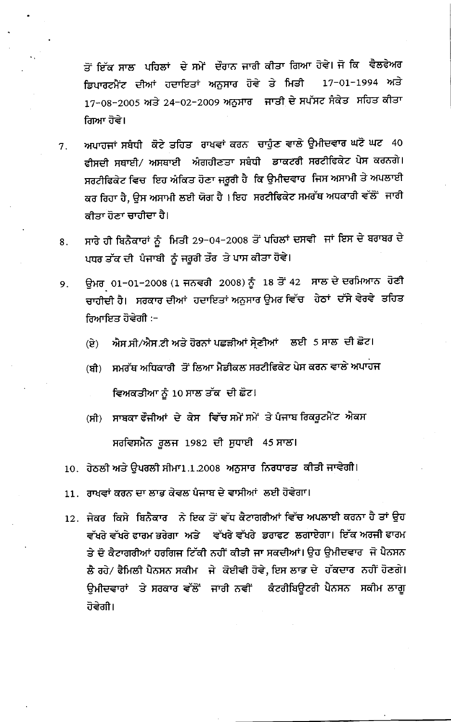ਤੋਂ ਇੱਕ ਸਾਲ ਪਹਿਲਾਂ ਦੇ ਸਮੇਂ ਦੌਰਾਨ ਜਾਰੀ ਕੀਤਾ ਗਿਆ ਹੋਵੇ। ਜੋ ਕਿ ਵੈਲਫੇਅਰ ਡਿਪਾਰਟਮੈਂਟ ਦੀਆਂ ਹਦਾਇਤਾਂ ਅਨੁਸਾਰ ਹੋਵੇ ਤੇ ਮਿਤੀ 17-01-1994 ਅਤੇ 17-08-2005 ਅਤੇ 24-02-2009 ਅਨੁਸਾਰ ਜਾਤੀ ਦੇ ਸਪੱਸਟ ਸੈਕੇਤ ਸਹਿਤ ਕੀਤਾ ਗਿਆ ਹੋਵੇ।

- ਅਪਾਹਜਾਂ ਸਬੰਧੀ ਕੋਟੇ ਤਹਿਤ ਰਾਖਵਾਂ ਕਰਨ ਚਾਹੁੰਣ ਵਾਲੇ ਉਮੀਦਵਾਰ ਘਟੋ ਘਟ 40  $7.$ ਫੀਸਦੀ ਸਥਾਈ/ ਅਸਥਾਈ ਅੰਗਹੀਣਤਾ ਸਬੰਧੀ ਡਾਕਟਰੀ ਸਰਟੀਫਿਕੇਟ ਪੇਸ ਕਰਨਗੇ। ਸਰਟੀਫਿਕੇਟ ਵਿਚ ਇਹ ਅੰਕਿਤ ਹੋਣਾ ਜਰੂਰੀ ਹੈ ਕਿ ਉਮੀਦਵਾਰ ਜਿਸ ਅਸਾਮੀ ਤੇ ਅਪਲਾਈ ਕਰ ਰਿਹਾ ਹੈ, ਉਸ ਅਸਾਮੀ ਲਈ ਯੋਗ ਹੈ। ਇਹ ਸਰਟੀਫਿਕੇਟ ਸਮਰੱਥ ਅਧਕਾਰੀ ਵੱਲੋਂ ਜਾਰੀ ਕੀਤਾ ਹੋਣਾ ਚਾਹੀਦਾ ਹੈ।
- ਸਾਰੇ ਹੀ ਬਿਨੈਕਾਰਾਂ ਨੂੰ ਮਿਤੀ 29-04-2008 ਤੋਂ ਪਹਿਲਾਂ ਦਸਵੀ ਜਾਂ ਇਸ ਦੇ ਬਰਾਬਰ ਦੇ 8. ਪਧਰ ਤੱਕ ਦੀ ਪੰਜਾਬੀ ਨੂੰ ਜਰੂਰੀ ਤੌਰ ਤੇ ਪਾਸ ਕੀਤਾ ਹੋਵੇ।
- ਉਮਰ 01-01-2008 (1 ਜਨਵਰੀ 2008) ਨੂੰ 18 ਤੋਂ 42 ਸਾਲ ਦੇ ਦਰਮਿਆਨ ਹੋਣੀ 9. ਚਾਹੀਦੀ ਹੈ। ਸਰਕਾਰ ਦੀਆਂ ਹਦਾਇਤਾਂ ਅਨੁਸਾਰ ਉਮਰ ਵਿੱਚ ਹੇਠਾਂ ਦੱਸੇ ਵੇਰਵੇ ਤਹਿਤ ਰਿਆਇਤ ਹੋਵੇਗੀ :−
	- ਐਸ.ਸੀ/ਐਸ.ਟੀ ਅਤੇ ਹੋਰਨਾਂ ਪਛੜੀਆਂ ਸੇ੍ਣੀਆਂ ਲਈ 5 ਸਾਲ ਦੀ ਛੋਟ। (ਏ)
	- ਸਮਰੱਥ ਅਧਿਕਾਰੀ ਤੋਂ ਲਿਆ ਮੈਡੀਕਲ ਸਰਟੀਫਿਕੇਟ ਪੇਸ ਕਰਨ ਵਾਲੇ ਅਪਾਹਜ (ਬੀ) ਵਿਅਕਤੀਆ ਨੂੰ 10 ਸਾਲ ਤੱਕ ਦੀ ਛੋਟ।
	- ਸਾਬਕਾ ਫੌਜੀਆਂ ਦੇ ਕੇਸ ਵਿੱਚ ਸਮੇਂ ਸਮੇਂ ਤੇ ਪੰਜਾਬ ਰਿਕਰੂਟਮੈਂਟ ਐਕਸ  $(\overline{\mathsf{H}})$ ਸਰਵਿਸਮੈਨ ਰੁਲਜ 1982 ਦੀ ਸੁਧਾਈ 45 ਸਾਲ।
	- 10. ਹੇਠਲੀ ਅਤੇ ਉਪਰਲੀ ਸੀਮਾ1.1.2008 ਅਨੁਸਾਰ ਨਿਰਧਾਰਤ ਕੀਤੀ ਜਾਵੇਗੀ।
	- 11. ਰਾਖਵਾਂ ਕਰਨ ਦਾ ਲਾਭ ਕੇਵਲ ਪੰਜਾਬ ਦੇ ਵਾਸੀਆਂ ਲਈ ਹੋਵੇਗਾ।
	- 12. ਜੇਕਰ ਕਿਸੇ ਬਿਨੈਕਾਰ ਨੇ ਇਕ ਤੋਂ ਵੱਧ ਕੈਟਾਗਰੀਆਂ ਵਿੱਚ ਅਪਲਾਈ ਕਰਨਾ ਹੈ ਤਾਂ ਉਹ ਵੱਖਰੇ ਵੱਖਰੇ ਫਾਰਮ ਭਰੇਗਾ ਅਤੇ ਵੱਖਰੇ ਵੱਖਰੇ ਡਰਾਫਟ ਲਗਾਏਗਾ। ਇੱਕ ਅਰਜੀ ਫਾਰਮ ਤੇ ਦੋ ਕੈਟਾਗਰੀਆਂ ਹਰਗਿਜ ਟਿੱਕੀ ਨਹੀਂ ਕੀਤੀ ਜਾ ਸਕਦੀਆਂ। ਉਹ ਉਮੀਦਵਾਰ ਜੋ ਪੈਨਸਨ ਲੈ ਰਹੇ/ ਫੈਮਿਲੀ ਪੈਨਸਨ ਸਕੀਮ ਜੇ ਕੋਈਵੀ ਹੋਵੇ, ਇਸ ਲਾਭ ਦੇ ਹੱਕਦਾਰ ਨਹੀਂ ਹੋਣਗੇ। ਉਮੀਦਵਾਰਾਂ ਤੇ ਸਰਕਾਰ ਵੱਲੋਂ ਜਾਰੀ ਨਵੀਂ ਕੰਟਰੀਬਿਊਟਰੀ ਪੈਨਸਨ ਸਕੀਮ ਲਾਗੂ ਹੋਵੇਗੀ।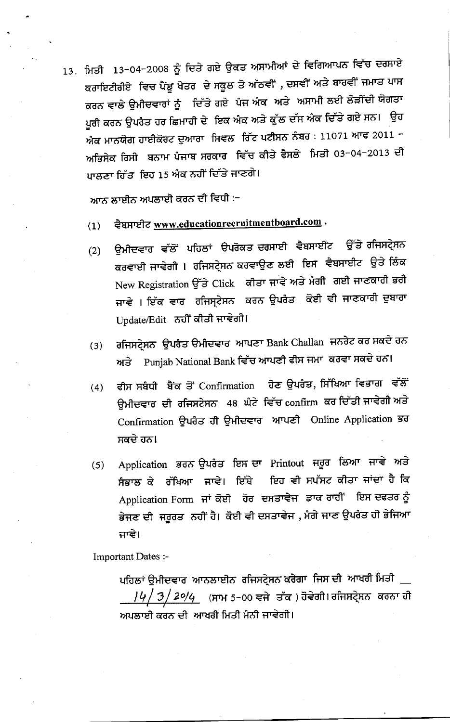13. ਮਿਤੀ 13-04-2008 ਨੂੰ ਦਿਤੇ ਗਏ ਉਕਤ ਅਸਾਮੀਆਂ ਦੇ ਵਿਗਿਆਪਨ ਵਿੱਚ ਦਰਸਾਏ ਕਰਾਇਟੀਰੀਏ ਵਿਚ ਪੈਂਡੂ ਖੇਤਰ ਦੇ ਸਕੂਲ ਤੋ ਅੱਠਵੀਂ , ਦਸਵੀਂ ਅਤੇ ਬਾਰਵੀਂ ਜਮਾਤ ਪਾਸ ਕਰਨ ਵਾਲੇ ਉਮੀਦਵਾਰਾਂ ਨੂੰ ਦਿੱਤੇ ਗਏ ਪੰਜ ਅੰਕ ਅਤੇ ਅਸਾਮੀ ਲਈ ਲੋੜੀਂਦੀ ਯੋਗਤਾ ਪੁਰੀ ਕਰਨ ਉਪਰੈਤ ਹਰ ਛਿਮਾਹੀ ਦੇ ਇਕ ਐਕ ਅਤੇ ਕੁੱਲ ਦੱਸ ਐਕ ਦਿੱਤੇ ਗਏ ਸਨ। ਉਹ ਅੰਕ ਮਾਨਯੋਗ ਹਾਈਕੋਰਟ ਦੁਆਰਾ ਸਿਵਲ ਰਿੱਟ ਪਟੀਸਨ ਨੰਬਰ : 11071 ਆਫ 2011 – ਅਭਿਸੇਕ ਰਿਸੀ ਬਨਾਮ ਪੰਜਾਬ ਸਰਕਾਰ ਵਿੱਚ ਕੀਤੇ ਫੈਸਲੇ ਮਿਤੀ 03-04-2013 ਦੀ ਪਾਲਣਾ ਹਿੱਤ ਇਹ 15 ਅੰਕ ਨਹੀਂ ਦਿੱਤੇ ਜਾਣਗੇ।

ਆਨ ਲਾਈਨ ਅਪਲਾਈ ਕਰਨ ਦੀ ਵਿਧੀ :-

- ਵੈਬਸਾਈਟ www.educationrecruitmentboard.com .  $(1)$
- ਉਮੀਦਵਾਰ ਵੱਲੋਂ ਪਹਿਲਾਂ ੳਪਰੋਕਤੁਦਰਸਾਈ ਵੈਬਸਾਈਟ ਉੱਤੇ ਰਜਿਸਟ੍ਰੇਸ਼ਨ  $(2)$ ਕਰਵਾਈ ਜਾਵੇਗੀ । ਰਜਿਸਟ੍ਰੇਸਨ ਕਰਵਾਉਣ ਲਈ ਇਸ ਵੈਬਸਾਈਟ ਉਤੇ ਲਿੰਕ New Registration ਉੱਤੇ Click ਕੀਤਾ ਜਾਵੇ ਅਤੇ ਮੰਗੀ ਗਈ ਜਾਣਕਾਰੀ ਭਰੀ ਜਾਵੇ । ਇੱਕ ਵਾਰ ਰਜਿਸ੍ਟੇਸਨ ਕਰਨ ਉਪਰੈਤ ਕੋਈ ਵੀ ਜਾਣਕਾਰੀ ਦੁਬਾਰਾ Update/Edit ਨਹੀਂ ਕੀਤੀ ਜਾਵੇਗੀ।
- ਰਜਿਸਟ੍ਰੇਸਨ ਉਪਰੰਤ ੳਮੀਦਵਾਰ ਆਪਣਾ Bank Challan ਜਨਰੇਟ ਕਰ ਸਕਦੇ ਹਨ  $(3)$ Punjab National Bank ਵਿੱਚ ਆਪਣੀ ਫੀਸ ਜਮਾ ਕਰਵਾ ਸਕਦੇ ਹਨ। ਅਤੇ
- ਫੀਸ ਸਬੰਧੀ ਬੈਂਕ ਤੋਂ Confirmation ਹੋਣ ਉਪਰੰਤ, ਸਿੱਖਿਆ ਵਿਭਾਗ ਵੱਲੋਂ  $(4)$ ਉਮੀਦਵਾਰ ਦੀ ਰਜਿਸਟੇਸਨ 48 ਘੰਟੇ ਵਿੱਚ confirm ਕਰ ਦਿੱਤੀ ਜਾਵੇਗੀ ਅਤੇ Confirmation ਉਪਰੰਤ ਹੀ ਉਮੀਦਵਾਰ ਆਪਣੀ Online Application ਭਰ ਸਕਦੇ ਹਨ।
- Application ਭਰਨ ਉਪਰੰਤ ਇਸ ਦਾ Printout ਜਰੂਰ ਲਿਆ ਜਾਵੇ ਅਤੇ  $(5)$ ਇਹ ਵੀ ਸਪੱਸਟ ਕੀਤਾ ਜਾਂਦਾ ਹੈ ਕਿ ਸੰਭਾਲ ਕੇ ਰੱਖਿਆ ਜਾਵੇ। ਇੱਥੇ Application Form ਜਾਂ ਕੋਈ ਹੋਰ ਦਸਤਾਵੇਜ ਡਾਕ ਰਾਹੀਂ ਇਸ ਦਫਤਰ ਨੂੰ ਭੇਜਣ ਦੀ ਜਰੂਰਤ ਨਹੀਂ ਹੈ। ਕੋਈ ਵੀ ਦਸਤਾਵੇਜ , ਮੰਗੇ ਜਾਣ ਉਪਰੰਤ ਹੀ ਭੇਜਿਆ ਜਾਵੇ।

Important Dates :-

ਪਹਿਲਾਂ ਉਮੀਦਵਾਰ ਆਨਲਾਈਨ ਰਜਿਸਟ੍ਰੇਸਨ ਕਰੇਗਾ ਜਿਸ ਦੀ ਆਖਰੀ ਮਿਤੀ \_ <mark>/*५/ 3/ 2º/4\_ (*ਸਾਮ 5−00 ਵਜੇ ਤੱਕ )ਹੋਵੇਗੀ। ਰਜਿਸਟ੍ਰੇਸ਼ਨ ਕਰਨਾ ਹੀ</mark> ਅਪਲਾਈ ਕਰਨ ਦੀ ਆਖਰੀ ਮਿਤੀ ਮੰਨੀ ਜਾਵੇਗੀ।